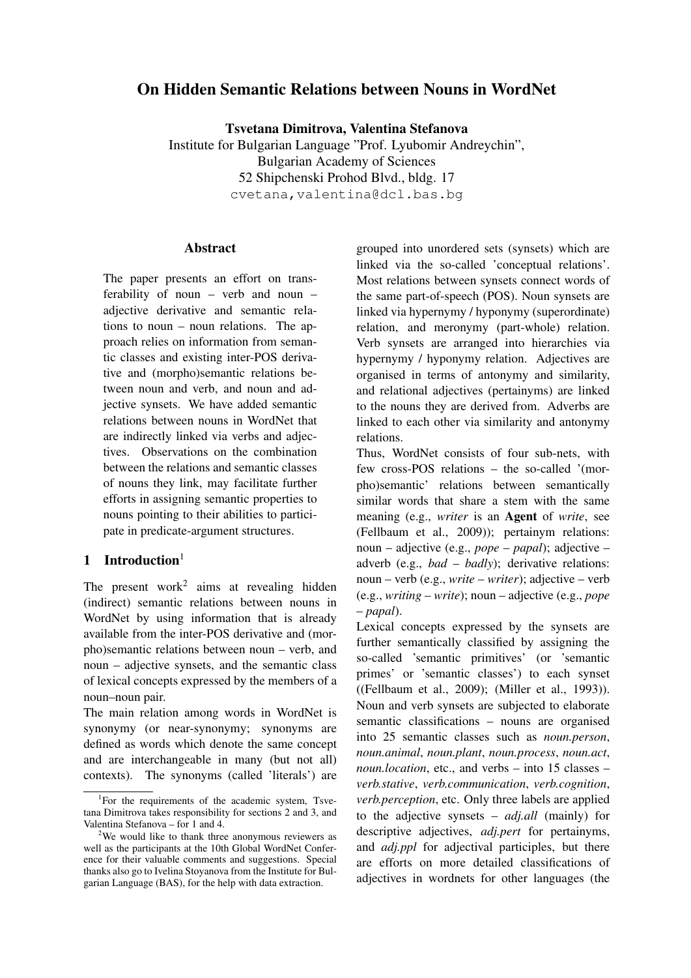# On Hidden Semantic Relations between Nouns in WordNet

Tsvetana Dimitrova, Valentina Stefanova

Institute for Bulgarian Language "Prof. Lyubomir Andreychin", Bulgarian Academy of Sciences 52 Shipchenski Prohod Blvd., bldg. 17 cvetana,valentina@dcl.bas.bg

### Abstract

The paper presents an effort on transferability of noun – verb and noun – adjective derivative and semantic relations to noun – noun relations. The approach relies on information from semantic classes and existing inter-POS derivative and (morpho)semantic relations between noun and verb, and noun and adjective synsets. We have added semantic relations between nouns in WordNet that are indirectly linked via verbs and adjectives. Observations on the combination between the relations and semantic classes of nouns they link, may facilitate further efforts in assigning semantic properties to nouns pointing to their abilities to participate in predicate-argument structures.

# 1 Introduction $1$

The present work<sup>2</sup> aims at revealing hidden (indirect) semantic relations between nouns in WordNet by using information that is already available from the inter-POS derivative and (morpho)semantic relations between noun – verb, and noun – adjective synsets, and the semantic class of lexical concepts expressed by the members of a noun–noun pair.

The main relation among words in WordNet is synonymy (or near-synonymy; synonyms are defined as words which denote the same concept and are interchangeable in many (but not all) contexts). The synonyms (called 'literals') are

grouped into unordered sets (synsets) which are linked via the so-called 'conceptual relations'. Most relations between synsets connect words of the same part-of-speech (POS). Noun synsets are linked via hypernymy / hyponymy (superordinate) relation, and meronymy (part-whole) relation. Verb synsets are arranged into hierarchies via hypernymy / hyponymy relation. Adjectives are organised in terms of antonymy and similarity, and relational adjectives (pertainyms) are linked to the nouns they are derived from. Adverbs are linked to each other via similarity and antonymy relations.

Thus, WordNet consists of four sub-nets, with few cross-POS relations – the so-called '(morpho)semantic' relations between semantically similar words that share a stem with the same meaning (e.g., *writer* is an Agent of *write*, see (Fellbaum et al., 2009)); pertainym relations: noun – adjective (e.g., *pope* – *papal*); adjective – adverb (e.g., *bad* – *badly*); derivative relations: noun – verb (e.g., *write* – *writer*); adjective – verb (e.g., *writing* – *write*); noun – adjective (e.g., *pope* – *papal*).

Lexical concepts expressed by the synsets are further semantically classified by assigning the so-called 'semantic primitives' (or 'semantic primes' or 'semantic classes') to each synset ((Fellbaum et al., 2009); (Miller et al., 1993)). Noun and verb synsets are subjected to elaborate semantic classifications – nouns are organised into 25 semantic classes such as *noun.person*, *noun.animal*, *noun.plant*, *noun.process*, *noun.act*, *noun.location*, etc., and verbs – into 15 classes – *verb.stative*, *verb.communication*, *verb.cognition*, *verb.perception*, etc. Only three labels are applied to the adjective synsets – *adj.all* (mainly) for descriptive adjectives, *adj.pert* for pertainyms, and *adj.ppl* for adjectival participles, but there are efforts on more detailed classifications of adjectives in wordnets for other languages (the

<sup>&</sup>lt;sup>1</sup>For the requirements of the academic system, Tsvetana Dimitrova takes responsibility for sections 2 and 3, and Valentina Stefanova – for 1 and 4.

<sup>&</sup>lt;sup>2</sup>We would like to thank three anonymous reviewers as well as the participants at the 10th Global WordNet Conference for their valuable comments and suggestions. Special thanks also go to Ivelina Stoyanova from the Institute for Bulgarian Language (BAS), for the help with data extraction.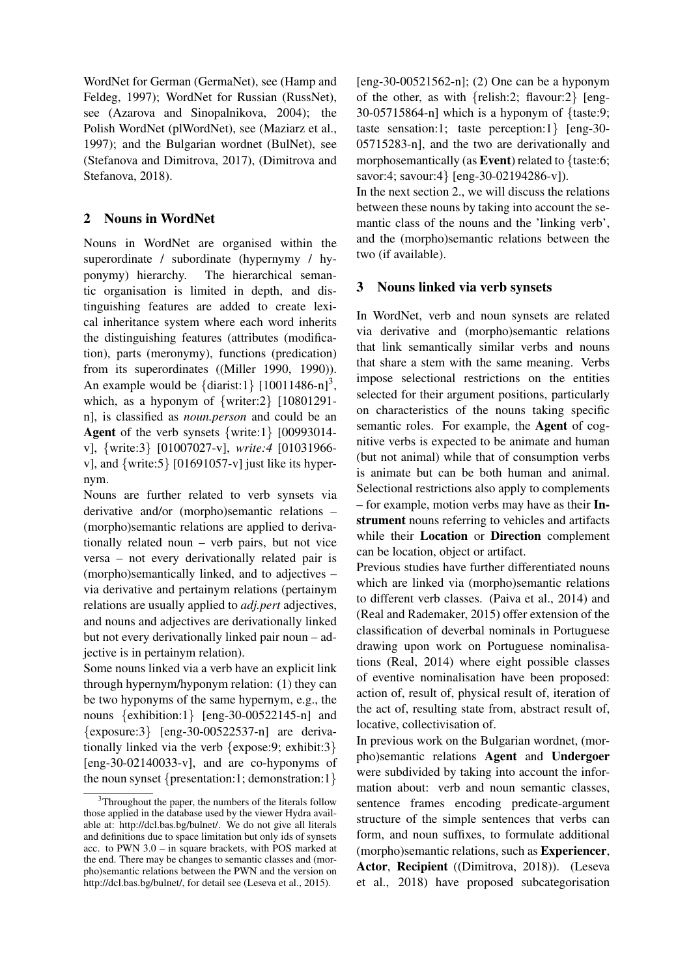WordNet for German (GermaNet), see (Hamp and Feldeg, 1997); WordNet for Russian (RussNet), see (Azarova and Sinopalnikova, 2004); the Polish WordNet (plWordNet), see (Maziarz et al., 1997); and the Bulgarian wordnet (BulNet), see (Stefanova and Dimitrova, 2017), (Dimitrova and Stefanova, 2018).

## 2 Nouns in WordNet

Nouns in WordNet are organised within the superordinate / subordinate (hypernymy / hyponymy) hierarchy. The hierarchical semantic organisation is limited in depth, and distinguishing features are added to create lexical inheritance system where each word inherits the distinguishing features (attributes (modification), parts (meronymy), functions (predication) from its superordinates ((Miller 1990, 1990)). An example would be  $\{\text{diarist:1}\}$   $[10011486-n]^3$ , which, as a hyponym of {writer:2} [10801291n], is classified as *noun.person* and could be an Agent of the verb synsets {write:1} [00993014 v], {write:3} [01007027-v], *write:4* [01031966 v], and {write:5} [01691057-v] just like its hypernym.

Nouns are further related to verb synsets via derivative and/or (morpho)semantic relations – (morpho)semantic relations are applied to derivationally related noun – verb pairs, but not vice versa – not every derivationally related pair is (morpho)semantically linked, and to adjectives – via derivative and pertainym relations (pertainym relations are usually applied to *adj.pert* adjectives, and nouns and adjectives are derivationally linked but not every derivationally linked pair noun – adjective is in pertainym relation).

Some nouns linked via a verb have an explicit link through hypernym/hyponym relation: (1) they can be two hyponyms of the same hypernym, e.g., the nouns {exhibition:1} [eng-30-00522145-n] and {exposure:3} [eng-30-00522537-n] are derivationally linked via the verb {expose:9; exhibit:3}  $[eng-30-02140033-v]$ , and are co-hyponyms of the noun synset {presentation:1; demonstration:1}

[eng-30-00521562-n]; (2) One can be a hyponym of the other, as with {relish:2; flavour:2} [eng- $30-05715864-n$ ] which is a hyponym of {taste:9; taste sensation:1; taste perception:1} [eng-30- 05715283-n], and the two are derivationally and morphosemantically (as **Event**) related to  $\{t$ aste:6; savor:4; savour:4} [eng-30-02194286-v]).

In the next section 2., we will discuss the relations between these nouns by taking into account the semantic class of the nouns and the 'linking verb', and the (morpho)semantic relations between the two (if available).

# 3 Nouns linked via verb synsets

In WordNet, verb and noun synsets are related via derivative and (morpho)semantic relations that link semantically similar verbs and nouns that share a stem with the same meaning. Verbs impose selectional restrictions on the entities selected for their argument positions, particularly on characteristics of the nouns taking specific semantic roles. For example, the Agent of cognitive verbs is expected to be animate and human (but not animal) while that of consumption verbs is animate but can be both human and animal. Selectional restrictions also apply to complements – for example, motion verbs may have as their Instrument nouns referring to vehicles and artifacts while their Location or Direction complement can be location, object or artifact.

Previous studies have further differentiated nouns which are linked via (morpho)semantic relations to different verb classes. (Paiva et al., 2014) and (Real and Rademaker, 2015) offer extension of the classification of deverbal nominals in Portuguese drawing upon work on Portuguese nominalisations (Real, 2014) where eight possible classes of eventive nominalisation have been proposed: action of, result of, physical result of, iteration of the act of, resulting state from, abstract result of, locative, collectivisation of.

In previous work on the Bulgarian wordnet, (morpho)semantic relations Agent and Undergoer were subdivided by taking into account the information about: verb and noun semantic classes, sentence frames encoding predicate-argument structure of the simple sentences that verbs can form, and noun suffixes, to formulate additional (morpho)semantic relations, such as Experiencer, Actor, Recipient ((Dimitrova, 2018)). (Leseva et al., 2018) have proposed subcategorisation

<sup>&</sup>lt;sup>3</sup>Throughout the paper, the numbers of the literals follow those applied in the database used by the viewer Hydra available at: http://dcl.bas.bg/bulnet/. We do not give all literals and definitions due to space limitation but only ids of synsets acc. to PWN 3.0 – in square brackets, with POS marked at the end. There may be changes to semantic classes and (morpho)semantic relations between the PWN and the version on http://dcl.bas.bg/bulnet/, for detail see (Leseva et al., 2015).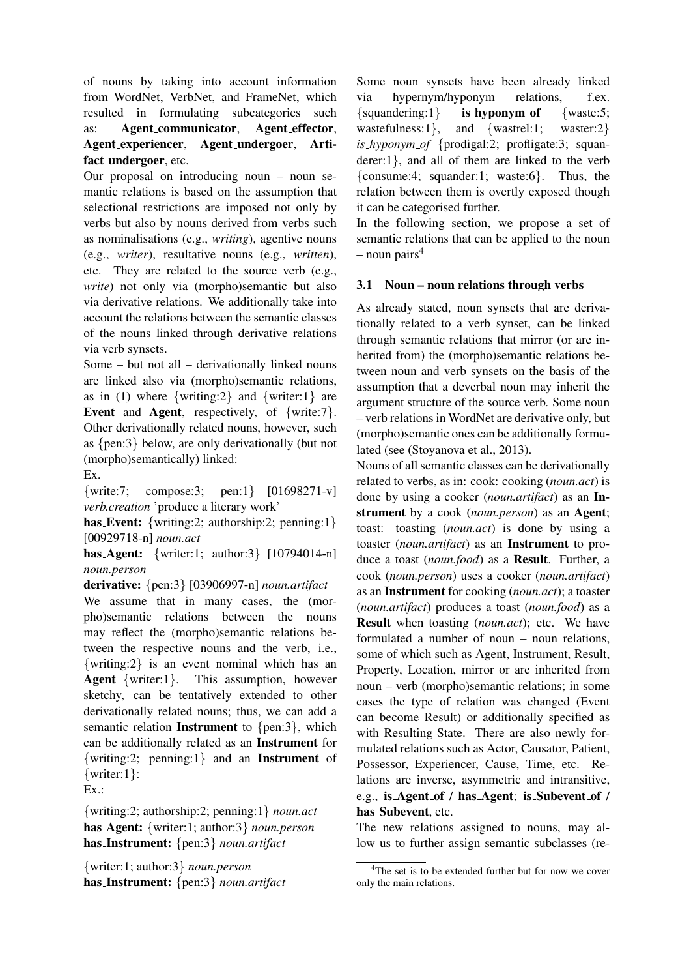of nouns by taking into account information from WordNet, VerbNet, and FrameNet, which resulted in formulating subcategories such as: Agent communicator, Agent effector, Agent experiencer, Agent undergoer, Artifact\_undergoer, etc.

Our proposal on introducing noun – noun semantic relations is based on the assumption that selectional restrictions are imposed not only by verbs but also by nouns derived from verbs such as nominalisations (e.g., *writing*), agentive nouns (e.g., *writer*), resultative nouns (e.g., *written*), etc. They are related to the source verb (e.g., *write*) not only via (morpho)semantic but also via derivative relations. We additionally take into account the relations between the semantic classes of the nouns linked through derivative relations via verb synsets.

Some – but not all – derivationally linked nouns are linked also via (morpho)semantic relations, as in (1) where  $\{writing:2\}$  and  $\{writer:1\}$  are Event and Agent, respectively, of {write:7}. Other derivationally related nouns, however, such as {pen:3} below, are only derivationally (but not (morpho)semantically) linked:

Ex.

{write:7; compose:3; pen:1} [01698271-v] *verb.creation* 'produce a literary work'

has Event: {writing:2; authorship:2; penning:1} [00929718-n] *noun.act*

has Agent: {writer:1; author:3} [10794014-n] *noun.person*

derivative: {pen:3} [03906997-n] *noun.artifact*

We assume that in many cases, the (morpho)semantic relations between the nouns may reflect the (morpho)semantic relations between the respective nouns and the verb, i.e., {writing:2} is an event nominal which has an Agent {writer:1}. This assumption, however sketchy, can be tentatively extended to other derivationally related nouns; thus, we can add a semantic relation Instrument to {pen:3}, which can be additionally related as an Instrument for {writing:2; penning:1} and an Instrument of {writer:1}:

Ex.:

{writing:2; authorship:2; penning:1} *noun.act* has Agent: {writer:1; author:3} *noun.person* has Instrument: {pen:3} *noun.artifact*

{writer:1; author:3} *noun.person* has Instrument: {pen:3} *noun.artifact*

Some noun synsets have been already linked via hypernym/hyponym relations, f.ex.  $\{square\}$  is hyponym of  $\{waste: 5\}$ wastefulness:1}, and {wastrel:1; waster:2} *is hyponym of* {prodigal:2; profligate:3; squanderer:1}, and all of them are linked to the verb {consume:4; squander:1; waste:6}. Thus, the relation between them is overtly exposed though it can be categorised further.

In the following section, we propose a set of semantic relations that can be applied to the noun – noun pairs<sup>4</sup>

## 3.1 Noun – noun relations through verbs

As already stated, noun synsets that are derivationally related to a verb synset, can be linked through semantic relations that mirror (or are inherited from) the (morpho)semantic relations between noun and verb synsets on the basis of the assumption that a deverbal noun may inherit the argument structure of the source verb. Some noun – verb relations in WordNet are derivative only, but (morpho)semantic ones can be additionally formulated (see (Stoyanova et al., 2013).

Nouns of all semantic classes can be derivationally related to verbs, as in: cook: cooking (*noun.act*) is done by using a cooker (*noun.artifact*) as an Instrument by a cook (*noun.person*) as an Agent; toast: toasting (*noun.act*) is done by using a toaster (*noun.artifact*) as an Instrument to produce a toast (*noun.food*) as a Result. Further, a cook (*noun.person*) uses a cooker (*noun.artifact*) as an Instrument for cooking (*noun.act*); a toaster (*noun.artifact*) produces a toast (*noun.food*) as a Result when toasting (*noun.act*); etc. We have formulated a number of noun – noun relations, some of which such as Agent, Instrument, Result, Property, Location, mirror or are inherited from noun – verb (morpho)semantic relations; in some cases the type of relation was changed (Event can become Result) or additionally specified as with Resulting State. There are also newly formulated relations such as Actor, Causator, Patient, Possessor, Experiencer, Cause, Time, etc. Relations are inverse, asymmetric and intransitive, e.g., is Agent of / has Agent; is Subevent of / has Subevent, etc.

The new relations assigned to nouns, may allow us to further assign semantic subclasses (re-

<sup>&</sup>lt;sup>4</sup>The set is to be extended further but for now we cover only the main relations.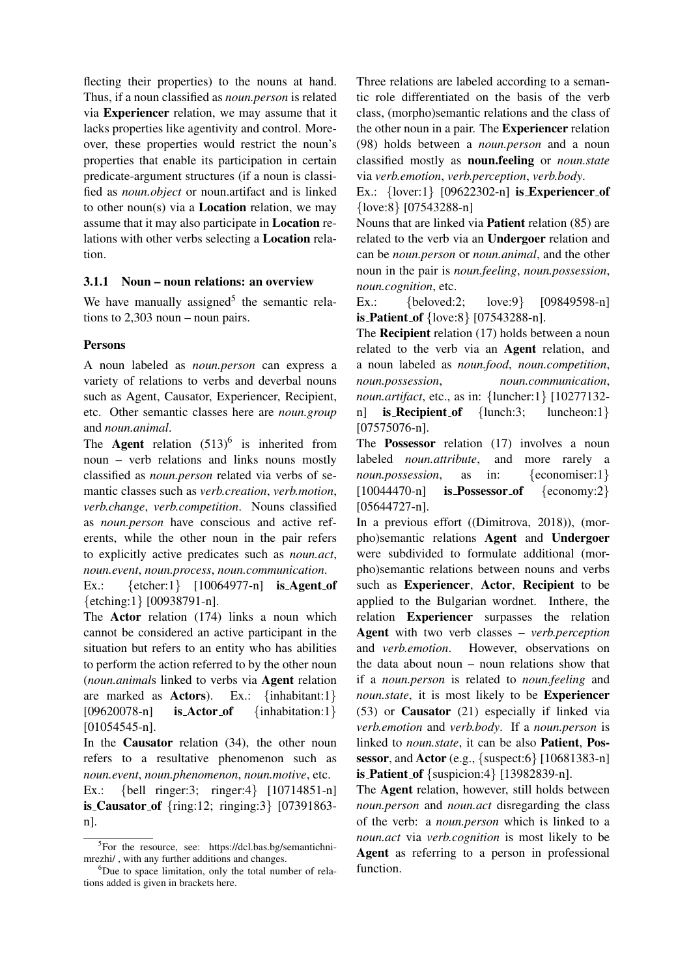flecting their properties) to the nouns at hand. Thus, if a noun classified as *noun.person* is related via Experiencer relation, we may assume that it lacks properties like agentivity and control. Moreover, these properties would restrict the noun's properties that enable its participation in certain predicate-argument structures (if a noun is classified as *noun.object* or noun.artifact and is linked to other noun(s) via a Location relation, we may assume that it may also participate in Location relations with other verbs selecting a Location relation.

#### 3.1.1 Noun – noun relations: an overview

We have manually assigned<sup>5</sup> the semantic relations to 2,303 noun – noun pairs.

#### Persons

A noun labeled as *noun.person* can express a variety of relations to verbs and deverbal nouns such as Agent, Causator, Experiencer, Recipient, etc. Other semantic classes here are *noun.group* and *noun.animal*.

The **Agent** relation  $(513)^6$  is inherited from noun – verb relations and links nouns mostly classified as *noun.person* related via verbs of semantic classes such as *verb.creation*, *verb.motion*, *verb.change*, *verb.competition*. Nouns classified as *noun.person* have conscious and active referents, while the other noun in the pair refers to explicitly active predicates such as *noun.act*, *noun.event*, *noun.process*, *noun.communication*.

Ex.:  $\{\text{etcher:1}\}\$  [10064977-n] is Agent of {etching:1} [00938791-n].

The Actor relation (174) links a noun which cannot be considered an active participant in the situation but refers to an entity who has abilities to perform the action referred to by the other noun (*noun.animal*s linked to verbs via Agent relation are marked as **Actors**). Ex.:  $\{\text{inhabitant:1}\}\$  $[09620078-n]$  is Actor of  ${\text{inhabitation:1}}$  $[01054545-n]$ .

In the Causator relation (34), the other noun refers to a resultative phenomenon such as *noun.event*, *noun.phenomenon*, *noun.motive*, etc.

Ex.: {bell ringer:3; ringer:4} [10714851-n] is Causator of {ring:12; ringing:3} [07391863 n].

Three relations are labeled according to a semantic role differentiated on the basis of the verb class, (morpho)semantic relations and the class of the other noun in a pair. The Experiencer relation (98) holds between a *noun.person* and a noun classified mostly as noun.feeling or *noun.state* via *verb.emotion*, *verb.perception*, *verb.body*.

Ex.:  $\{lower:1\}$  [09622302-n] is Experiencer of {love:8} [07543288-n]

Nouns that are linked via Patient relation (85) are related to the verb via an Undergoer relation and can be *noun.person* or *noun.animal*, and the other noun in the pair is *noun.feeling*, *noun.possession*, *noun.cognition*, etc.

Ex.: {beloved:2: love:9} [09849598-n] is Patient of {love:8} [07543288-n].

The Recipient relation (17) holds between a noun related to the verb via an Agent relation, and a noun labeled as *noun.food*, *noun.competition*, *noun.possession*, *noun.communication*, *noun.artifact*, etc., as in: {luncher:1} [10277132 n] **is Recipient of** {lunch:3; luncheon:1} [07575076-n].

The **Possessor** relation (17) involves a noun labeled *noun.attribute*, and more rarely a *noun.possession*, as in: {economiser:1}  $[10044470-n]$  is Possessor of  $\{e \text{conomy:} 2\}$ [05644727-n].

In a previous effort ((Dimitrova, 2018)), (morpho)semantic relations Agent and Undergoer were subdivided to formulate additional (morpho)semantic relations between nouns and verbs such as Experiencer, Actor, Recipient to be applied to the Bulgarian wordnet. Inthere, the relation Experiencer surpasses the relation Agent with two verb classes – *verb.perception* and *verb.emotion*. However, observations on the data about noun – noun relations show that if a *noun.person* is related to *noun.feeling* and *noun.state*, it is most likely to be Experiencer (53) or Causator (21) especially if linked via *verb.emotion* and *verb.body*. If a *noun.person* is linked to *noun.state*, it can be also Patient, Possessor, and Actor (e.g.,  $\{\text{suspect:6}\}\$  [10681383-n] **is Patient of** {suspicion:4} [13982839-n].

The Agent relation, however, still holds between *noun.person* and *noun.act* disregarding the class of the verb: a *noun.person* which is linked to a *noun.act* via *verb.cognition* is most likely to be Agent as referring to a person in professional function.

<sup>&</sup>lt;sup>5</sup>For the resource, see: https://dcl.bas.bg/semantichnimrezhi/ , with any further additions and changes.

<sup>&</sup>lt;sup>6</sup>Due to space limitation, only the total number of relations added is given in brackets here.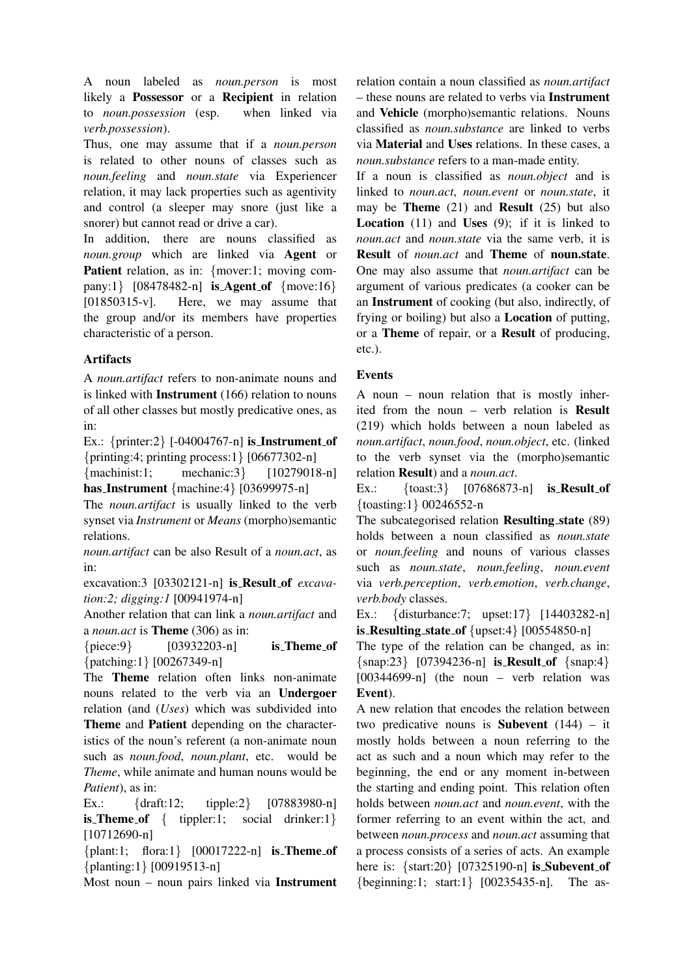A noun labeled as *noun.person* is most likely a Possessor or a Recipient in relation to *noun.possession* (esp. when linked via *verb.possession*).

Thus, one may assume that if a *noun.person* is related to other nouns of classes such as *noun.feeling* and *noun.state* via Experiencer relation, it may lack properties such as agentivity and control (a sleeper may snore (just like a snorer) but cannot read or drive a car).

In addition, there are nouns classified as *noun.group* which are linked via Agent or Patient relation, as in: {mover:1; moving company:1}  $[08478482-n]$  is Agent of  ${$  move:16} [01850315-v]. Here, we may assume that the group and/or its members have properties characteristic of a person.

## Artifacts

A *noun.artifact* refers to non-animate nouns and is linked with Instrument (166) relation to nouns of all other classes but mostly predicative ones, as in:

Ex.:  $\{$ printer:2\} [-04004767-n] is Instrument of {printing:4; printing process:1} [06677302-n]

{machinist:1; mechanic:3} [10279018-n] has Instrument {machine:4} [03699975-n]

The *noun.artifact* is usually linked to the verb synset via *Instrument* or *Means* (morpho)semantic relations.

*noun.artifact* can be also Result of a *noun.act*, as in:

excavation:3 [03302121-n] is Result of *excavation:2; digging:1* [00941974-n]

Another relation that can link a *noun.artifact* and a *noun.act* is Theme (306) as in:

 ${piece:9}$  [03932203-n] is Theme of {patching:1} [00267349-n]

The Theme relation often links non-animate nouns related to the verb via an Undergoer relation (and (*Uses*) which was subdivided into Theme and Patient depending on the characteristics of the noun's referent (a non-animate noun such as *noun.food*, *noun.plant*, etc. would be *Theme*, while animate and human nouns would be *Patient*), as in:

Ex.: {draft:12; tipple:2} [07883980-n] **is Theme of** { tippler:1; social drinker:1} [10712690-n]

{plant:1; flora:1} [00017222-n] is Theme of {planting:1} [00919513-n]

Most noun – noun pairs linked via Instrument

relation contain a noun classified as *noun.artifact* – these nouns are related to verbs via Instrument and Vehicle (morpho)semantic relations. Nouns classified as *noun.substance* are linked to verbs via Material and Uses relations. In these cases, a *noun.substance* refers to a man-made entity.

If a noun is classified as *noun.object* and is linked to *noun.act*, *noun.event* or *noun.state*, it may be Theme (21) and Result (25) but also **Location** (11) and **Uses** (9); if it is linked to *noun.act* and *noun.state* via the same verb, it is Result of *noun.act* and Theme of noun.state. One may also assume that *noun.artifact* can be argument of various predicates (a cooker can be an Instrument of cooking (but also, indirectly, of frying or boiling) but also a Location of putting, or a Theme of repair, or a Result of producing, etc.).

# Events

A noun – noun relation that is mostly inherited from the noun – verb relation is Result (219) which holds between a noun labeled as *noun.artifact*, *noun.food*, *noun.object*, etc. (linked to the verb synset via the (morpho)semantic relation Result) and a *noun.act*.

Ex.: {toast:3} [07686873-n] is Result of {toasting:1} 00246552-n

The subcategorised relation Resulting state (89) holds between a noun classified as *noun.state* or *noun.feeling* and nouns of various classes such as *noun.state*, *noun.feeling*, *noun.event* via *verb.perception*, *verb.emotion*, *verb.change*, *verb.body* classes.

Ex.: {disturbance:7; upset:17} [14403282-n] is Resulting state of  $\{upset:4\}$   $[00554850-n]$ 

The type of the relation can be changed, as in:  $\{\text{snap:23}\}$  [07394236-n] is Result of  $\{\text{snap:4}\}$  $[00344699-n]$  (the noun – verb relation was Event).

A new relation that encodes the relation between two predicative nouns is **Subevent**  $(144) - it$ mostly holds between a noun referring to the act as such and a noun which may refer to the beginning, the end or any moment in-between the starting and ending point. This relation often holds between *noun.act* and *noun.event*, with the former referring to an event within the act, and between *noun.process* and *noun.act* assuming that a process consists of a series of acts. An example here is:  $\{ \text{start:} 20 \}$  [07325190-n] is Subevent of {beginning:1; start:1} [00235435-n]. The as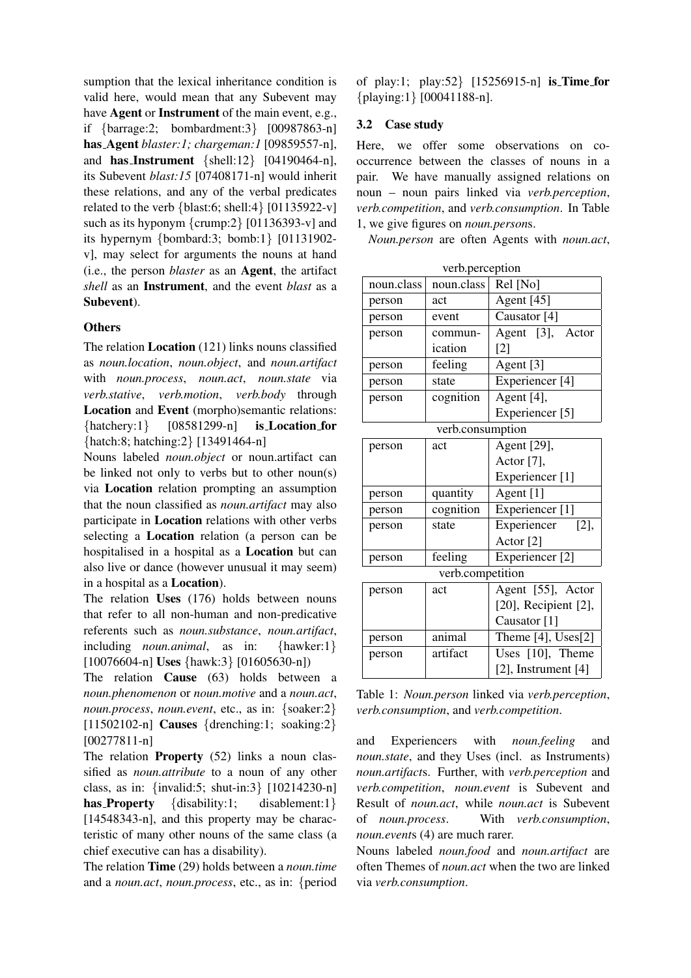sumption that the lexical inheritance condition is valid here, would mean that any Subevent may have **Agent** or **Instrument** of the main event, e.g., if {barrage:2; bombardment:3} [00987863-n] has Agent *blaster:1; chargeman:1* [09859557-n], and has Instrument {shell:12} [04190464-n], its Subevent *blast:15* [07408171-n] would inherit these relations, and any of the verbal predicates related to the verb  ${black:6; shell:4} [01135922-v]$ such as its hyponym {crump:2} [01136393-v] and its hypernym {bombard:3; bomb:1} [01131902 v], may select for arguments the nouns at hand (i.e., the person *blaster* as an Agent, the artifact *shell* as an Instrument, and the event *blast* as a Subevent).

### **Others**

The relation Location (121) links nouns classified as *noun.location*, *noun.object*, and *noun.artifact* with *noun.process*, *noun.act*, *noun.state* via *verb.stative*, *verb.motion*, *verb.body* through Location and Event (morpho)semantic relations:  $\{h$atchery:1\}$   $[08581299-n]$  is **Location for** {hatch:8; hatching:2} [13491464-n]

Nouns labeled *noun.object* or noun.artifact can be linked not only to verbs but to other noun(s) via Location relation prompting an assumption that the noun classified as *noun.artifact* may also participate in Location relations with other verbs selecting a Location relation (a person can be hospitalised in a hospital as a Location but can also live or dance (however unusual it may seem) in a hospital as a Location).

The relation Uses (176) holds between nouns that refer to all non-human and non-predicative referents such as *noun.substance*, *noun.artifact*, including *noun.animal*, as in: {hawker:1} [10076604-n] **Uses** {hawk:3} [01605630-n])

The relation Cause (63) holds between a *noun.phenomenon* or *noun.motive* and a *noun.act*, *noun.process*, *noun.event*, etc., as in: {soaker:2} [11502102-n] Causes {drenching:1; soaking:2} [00277811-n]

The relation **Property** (52) links a noun classified as *noun.attribute* to a noun of any other class, as in: {invalid:5; shut-in:3} [10214230-n] has **Property** {disability:1; disablement:1} [14548343-n], and this property may be characteristic of many other nouns of the same class (a chief executive can has a disability).

The relation Time (29) holds between a *noun.time* and a *noun.act*, *noun.process*, etc., as in: {period of play:1; play:52} [15256915-n] is Time for {playing:1} [00041188-n].

### 3.2 Case study

Here, we offer some observations on cooccurrence between the classes of nouns in a pair. We have manually assigned relations on noun – noun pairs linked via *verb.perception*, *verb.competition*, and *verb.consumption*. In Table 1, we give figures on *noun.person*s.

*Noun.person* are often Agents with *noun.act*,

| verb.perception  |            |                            |  |  |
|------------------|------------|----------------------------|--|--|
| noun.class       | noun.class | Rel [No]                   |  |  |
| person           | act        | Agent [45]                 |  |  |
| person           | event      | Causator <sup>[4]</sup>    |  |  |
| person           | commun-    | Agent [3], Actor           |  |  |
|                  | ication    | $\lceil 2 \rceil$          |  |  |
| person           | feeling    | Agent [3]                  |  |  |
| person           | state      | Experiencer <sup>[4]</sup> |  |  |
| person           | cognition  | Agent [4],                 |  |  |
|                  |            | Experiencer <sup>[5]</sup> |  |  |
| verb.consumption |            |                            |  |  |
| person           | act        | Agent [29],                |  |  |
|                  |            | Actor [7],                 |  |  |
|                  |            | Experiencer <sup>[1]</sup> |  |  |
| person           | quantity   | Agent [1]                  |  |  |
| person           | cognition  | Experiencer <sup>[1]</sup> |  |  |
| person           | state      | Experiencer<br>[2],        |  |  |
|                  |            | Actor <sup>[2]</sup>       |  |  |
| person           | feeling    | Experiencer <sup>[2]</sup> |  |  |
| verb.competition |            |                            |  |  |
| person           | act        | Agent [55], Actor          |  |  |
|                  |            | [20], Recipient [2],       |  |  |
|                  |            | Causator [1]               |  |  |
| person           | animal     | Theme [4], Uses[2]         |  |  |
| person           | artifact   | Uses [10], Theme           |  |  |
|                  |            | $[2]$ , Instrument $[4]$   |  |  |

Table 1: *Noun.person* linked via *verb.perception*, *verb.consumption*, and *verb.competition*.

and Experiencers with *noun.feeling* and *noun.state*, and they Uses (incl. as Instruments) *noun.artifact*s. Further, with *verb.perception* and *verb.competition*, *noun.event* is Subevent and Result of *noun.act*, while *noun.act* is Subevent of *noun.process*. With *verb.consumption*, *noun.event*s (4) are much rarer.

Nouns labeled *noun.food* and *noun.artifact* are often Themes of *noun.act* when the two are linked via *verb.consumption*.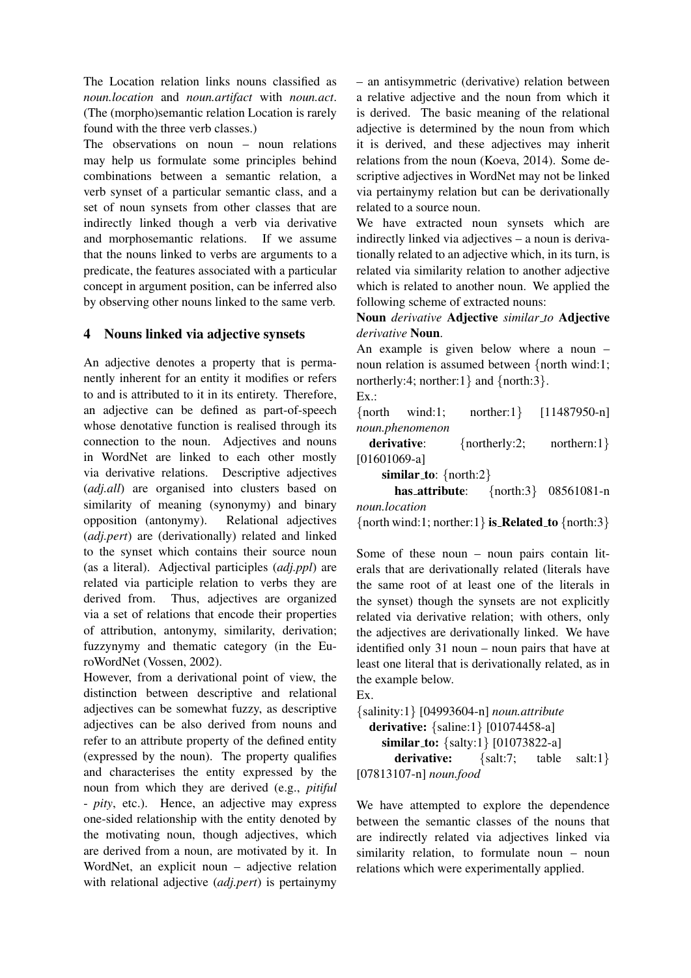The Location relation links nouns classified as *noun.location* and *noun.artifact* with *noun.act*. (The (morpho)semantic relation Location is rarely found with the three verb classes.)

The observations on noun – noun relations may help us formulate some principles behind combinations between a semantic relation, a verb synset of a particular semantic class, and a set of noun synsets from other classes that are indirectly linked though a verb via derivative and morphosemantic relations. If we assume that the nouns linked to verbs are arguments to a predicate, the features associated with a particular concept in argument position, can be inferred also by observing other nouns linked to the same verb.

## 4 Nouns linked via adjective synsets

An adjective denotes a property that is permanently inherent for an entity it modifies or refers to and is attributed to it in its entirety. Therefore, an adjective can be defined as part-of-speech whose denotative function is realised through its connection to the noun. Adjectives and nouns in WordNet are linked to each other mostly via derivative relations. Descriptive adjectives (*adj.all*) are organised into clusters based on similarity of meaning (synonymy) and binary opposition (antonymy). Relational adjectives (*adj.pert*) are (derivationally) related and linked to the synset which contains their source noun (as a literal). Adjectival participles (*adj.ppl*) are related via participle relation to verbs they are derived from. Thus, adjectives are organized via a set of relations that encode their properties of attribution, antonymy, similarity, derivation; fuzzynymy and thematic category (in the EuroWordNet (Vossen, 2002).

However, from a derivational point of view, the distinction between descriptive and relational adjectives can be somewhat fuzzy, as descriptive adjectives can be also derived from nouns and refer to an attribute property of the defined entity (expressed by the noun). The property qualifies and characterises the entity expressed by the noun from which they are derived (e.g., *pitiful* - *pity*, etc.). Hence, an adjective may express one-sided relationship with the entity denoted by the motivating noun, though adjectives, which are derived from a noun, are motivated by it. In WordNet, an explicit noun – adjective relation with relational adjective (*adj.pert*) is pertainymy – an antisymmetric (derivative) relation between a relative adjective and the noun from which it is derived. The basic meaning of the relational adjective is determined by the noun from which it is derived, and these adjectives may inherit relations from the noun (Koeva, 2014). Some descriptive adjectives in WordNet may not be linked via pertainymy relation but can be derivationally related to a source noun.

We have extracted noun synsets which are indirectly linked via adjectives – a noun is derivationally related to an adjective which, in its turn, is related via similarity relation to another adjective which is related to another noun. We applied the following scheme of extracted nouns:

Noun *derivative* Adjective *similar to* Adjective *derivative* Noun.

An example is given below where a noun – noun relation is assumed between {north wind:1; northerly:4; norther:1} and  $\{north:3\}$ .

Ex.:

{north wind:1; norther:1} [11487950-n] *noun.phenomenon*

derivative: {northerly:2; northern:1} [01601069-a]

similar\_to:  $\{north:2\}$ 

| has_attribute: | { $north:3$ } 08561081-n |
|----------------|--------------------------|
| noun.location  |                          |

 $\{$  north wind:1; norther:1} is Related to  $\{$  north:3}

Some of these noun – noun pairs contain literals that are derivationally related (literals have the same root of at least one of the literals in the synset) though the synsets are not explicitly related via derivative relation; with others, only the adjectives are derivationally linked. We have identified only 31 noun – noun pairs that have at least one literal that is derivationally related, as in the example below.

```
Ex.
```
{salinity:1} [04993604-n] *noun.attribute* derivative: {saline:1} [01074458-a] similar\_to: {salty:1} [01073822-a] derivative:  ${salt:7; table salt:1}$ [07813107-n] *noun.food*

We have attempted to explore the dependence between the semantic classes of the nouns that are indirectly related via adjectives linked via similarity relation, to formulate noun – noun relations which were experimentally applied.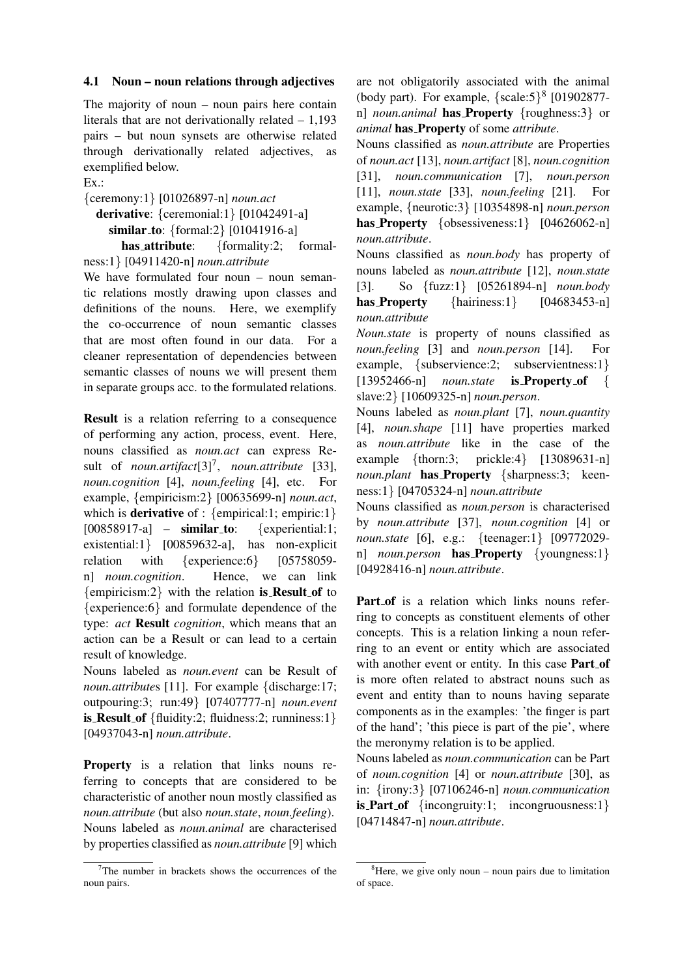### 4.1 Noun – noun relations through adjectives

The majority of noun – noun pairs here contain literals that are not derivationally related – 1,193 pairs – but noun synsets are otherwise related through derivationally related adjectives, as exemplified below.

Ex.:

{ceremony:1} [01026897-n] *noun.act* derivative: {ceremonial:1} [01042491-a] similar\_to: {formal:2} [01041916-a] has attribute: {formality:2; formal-

ness:1} [04911420-n] *noun.attribute*

We have formulated four noun – noun semantic relations mostly drawing upon classes and definitions of the nouns. Here, we exemplify the co-occurrence of noun semantic classes that are most often found in our data. For a cleaner representation of dependencies between semantic classes of nouns we will present them in separate groups acc. to the formulated relations.

Result is a relation referring to a consequence of performing any action, process, event. Here, nouns classified as *noun.act* can express Result of *noun.artifact*[3]<sup>7</sup> , *noun.attribute* [33], *noun.cognition* [4], *noun.feeling* [4], etc. For example, {empiricism:2} [00635699-n] *noun.act*, which is **derivative** of :  $\{empirical:1; empiric:1\}$ [00858917-a] –  $\text{similar_to}:$  {experiential:1; existential:1} [00859632-a], has non-explicit relation with {experience:6} [05758059n] *noun.cognition*. Hence, we can link  ${empiricism:2}$  with the relation is **Result** of to {experience:6} and formulate dependence of the type: *act* Result *cognition*, which means that an action can be a Result or can lead to a certain result of knowledge.

Nouns labeled as *noun.event* can be Result of *noun.attributes* [11]. For example {discharge:17; outpouring:3; run:49} [07407777-n] *noun.event* is Result of {fluidity:2; fluidness:2; runniness:1} [04937043-n] *noun.attribute*.

Property is a relation that links nouns referring to concepts that are considered to be characteristic of another noun mostly classified as *noun.attribute* (but also *noun.state*, *noun.feeling*). Nouns labeled as *noun.animal* are characterised by properties classified as *noun.attribute* [9] which

are not obligatorily associated with the animal (body part). For example,  $\{scale:5\}^8$  [01902877n] *noun.animal* has Property {roughness:3} or *animal* has Property of some *attribute*.

Nouns classified as *noun.attribute* are Properties of *noun.act* [13], *noun.artifact* [8], *noun.cognition* [31], *noun.communication* [7], *noun.person* [11], *noun.state* [33], *noun.feeling* [21]. For example, {neurotic:3} [10354898-n] *noun.person* has Property {obsessiveness:1} [04626062-n] *noun.attribute*.

Nouns classified as *noun.body* has property of nouns labeled as *noun.attribute* [12], *noun.state* [3]. So {fuzz:1} [05261894-n] *noun.body* has **Property**  $\{hairiness:1\}$   $[04683453-n]$ *noun.attribute*

*Noun.state* is property of nouns classified as *noun.feeling* [3] and *noun.person* [14]. For example, {subservience:2; subservientness:1} [13952466-n] *noun.state* is Property of { slave:2} [10609325-n] *noun.person*.

Nouns labeled as *noun.plant* [7], *noun.quantity* [4], *noun.shape* [11] have properties marked as *noun.attribute* like in the case of the example {thorn:3; prickle:4} [13089631-n] *noun.plant* has Property {sharpness:3; keenness:1} [04705324-n] *noun.attribute*

Nouns classified as *noun.person* is characterised by *noun.attribute* [37], *noun.cognition* [4] or *noun.state* [6], e.g.: {teenager:1} [09772029 n] *noun.person* has Property {youngness:1} [04928416-n] *noun.attribute*.

Part of is a relation which links nouns referring to concepts as constituent elements of other concepts. This is a relation linking a noun referring to an event or entity which are associated with another event or entity. In this case Part of is more often related to abstract nouns such as event and entity than to nouns having separate components as in the examples: 'the finger is part of the hand'; 'this piece is part of the pie', where the meronymy relation is to be applied.

Nouns labeled as *noun.communication* can be Part of *noun.cognition* [4] or *noun.attribute* [30], as in: {irony:3} [07106246-n] *noun.communication* is **Part of** {incongruity:1; incongruousness:1} [04714847-n] *noun.attribute*.

 $7$ The number in brackets shows the occurrences of the noun pairs.

 ${}^{8}$ Here, we give only noun – noun pairs due to limitation of space.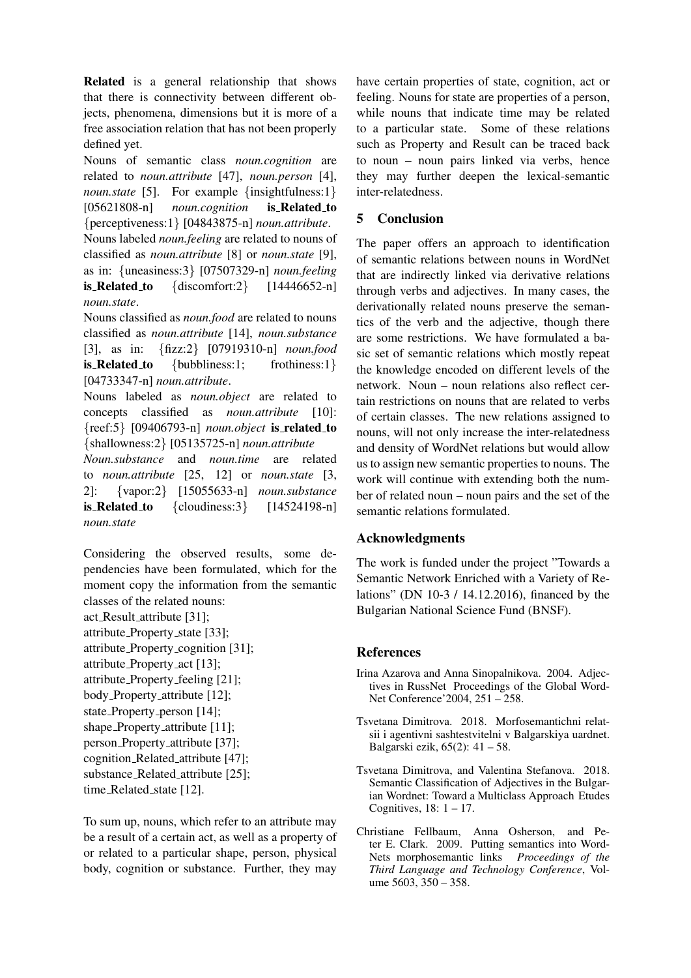Related is a general relationship that shows that there is connectivity between different objects, phenomena, dimensions but it is more of a free association relation that has not been properly defined yet.

Nouns of semantic class *noun.cognition* are related to *noun.attribute* [47], *noun.person* [4], *noun.state* [5]. For example {insightfulness:1} [05621808-n] *noun.cognition* is Related to {perceptiveness:1} [04843875-n] *noun.attribute*. Nouns labeled *noun.feeling* are related to nouns of classified as *noun.attribute* [8] or *noun.state* [9], as in: {uneasiness:3} [07507329-n] *noun.feeling* is Related to  $\{\text{discomfort:2}\}$  [14446652-n] *noun.state*.

Nouns classified as *noun.food* are related to nouns classified as *noun.attribute* [14], *noun.substance* [3], as in: {fizz:2} [07919310-n] *noun.food* is Related to {bubbliness:1; frothiness:1} [04733347-n] *noun.attribute*.

Nouns labeled as *noun.object* are related to concepts classified as *noun.attribute* [10]: {reef:5} [09406793-n] *noun.object* is related to {shallowness:2} [05135725-n] *noun.attribute*

*Noun.substance* and *noun.time* are related to *noun.attribute* [25, 12] or *noun.state* [3, 2]: {vapor:2} [15055633-n] *noun.substance* is Related to  $\{cloudiness:3\}$   $[14524198-n]$ *noun.state*

Considering the observed results, some dependencies have been formulated, which for the moment copy the information from the semantic classes of the related nouns:

act Result attribute [31]; attribute Property state [33];

attribute Property cognition [31]; attribute Property act [13]; attribute Property feeling [21]; body Property attribute [12]; state\_Property\_person [14]; shape\_Property\_attribute [11]; person Property attribute [37]; cognition Related attribute [47]; substance\_Related\_attribute [25]; time\_Related\_state [12].

To sum up, nouns, which refer to an attribute may be a result of a certain act, as well as a property of or related to a particular shape, person, physical body, cognition or substance. Further, they may have certain properties of state, cognition, act or feeling. Nouns for state are properties of a person, while nouns that indicate time may be related to a particular state. Some of these relations such as Property and Result can be traced back to noun – noun pairs linked via verbs, hence they may further deepen the lexical-semantic inter-relatedness.

# 5 Conclusion

The paper offers an approach to identification of semantic relations between nouns in WordNet that are indirectly linked via derivative relations through verbs and adjectives. In many cases, the derivationally related nouns preserve the semantics of the verb and the adjective, though there are some restrictions. We have formulated a basic set of semantic relations which mostly repeat the knowledge encoded on different levels of the network. Noun – noun relations also reflect certain restrictions on nouns that are related to verbs of certain classes. The new relations assigned to nouns, will not only increase the inter-relatedness and density of WordNet relations but would allow us to assign new semantic properties to nouns. The work will continue with extending both the number of related noun – noun pairs and the set of the semantic relations formulated.

# Acknowledgments

The work is funded under the project "Towards a Semantic Network Enriched with a Variety of Relations" (DN 10-3 / 14.12.2016), financed by the Bulgarian National Science Fund (BNSF).

# References

- Irina Azarova and Anna Sinopalnikova. 2004. Adjectives in RussNet Proceedings of the Global Word-Net Conference'2004, 251 – 258.
- Tsvetana Dimitrova. 2018. Morfosemantichni relatsii i agentivni sashtestvitelni v Balgarskiya uardnet. Balgarski ezik, 65(2): 41 – 58.
- Tsvetana Dimitrova, and Valentina Stefanova. 2018. Semantic Classification of Adjectives in the Bulgarian Wordnet: Toward a Multiclass Approach Etudes Cognitives,  $18: 1 - 17$ .
- Christiane Fellbaum, Anna Osherson, and Peter E. Clark. 2009. Putting semantics into Word-Nets morphosemantic links *Proceedings of the Third Language and Technology Conference*, Volume 5603, 350 – 358.